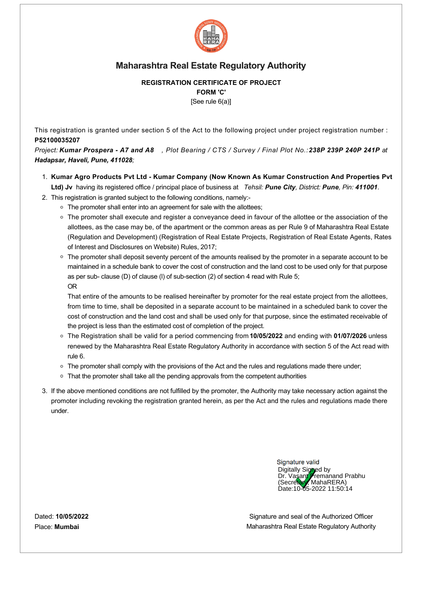

### **REGISTRATION CERTIFICATE OF PROJECT FORM 'C'**

[See rule 6(a)]

This registration is granted under section 5 of the Act to the following project under project registration number : **P52100035207**

*Project: Kumar Prospera A7 and A8 , Plot Bearing / CTS / Survey / Final Plot No.: 238P 239P 240P 241P at Hadapsar, Haveli, Pune, 411028;*

- 1. **Kumar Agro Products Pvt Ltd Kumar Company (Now Known As Kumar Construction And Properties Pvt Ltd) Jv** having its registered office / principal place of business at  *Tehsil: Pune City, District: Pune, Pin: 411001*.
- 2. This registration is granted subject to the following conditions, namely:
	- The promoter shall enter into an agreement for sale with the allottees;
	- The promoter shall execute and register a conveyance deed in favour of the allottee or the association of the allottees, as the case may be, of the apartment or the common areas as per Rule 9 of Maharashtra Real Estate (Regulation and Development) (Registration of Real Estate Projects, Registration of Real Estate Agents, Rates of Interest and Disclosures on Website) Rules, 2017;
	- The promoter shall deposit seventy percent of the amounts realised by the promoter in a separate account to be maintained in a schedule bank to cover the cost of construction and the land cost to be used only for that purpose as per sub- clause (D) of clause (I) of sub-section (2) of section 4 read with Rule 5; OR

That entire of the amounts to be realised hereinafter by promoter for the real estate project from the allottees, from time to time, shall be deposited in a separate account to be maintained in a scheduled bank to cover the cost of construction and the land cost and shall be used only for that purpose, since the estimated receivable of the project is less than the estimated cost of completion of the project.

- The Registration shall be valid for a period commencing from **10/05/2022** and ending with **01/07/2026** unless renewed by the Maharashtra Real Estate Regulatory Authority in accordance with section 5 of the Act read with rule 6.
- The promoter shall comply with the provisions of the Act and the rules and regulations made there under;
- **That the promoter shall take all the pending approvals from the competent authorities**
- 3. If the above mentioned conditions are not fulfilled by the promoter, the Authority may take necessary action against the promoter including revoking the registration granted herein, as per the Act and the rules and regulations made there under.

Signature valid Digitally Signed by Dr. Vasant **Premanand Prabhu** (Secretary, MahaRERA) Date:10-05-2022 11:50:14

Signature and seal of the Authorized Officer Maharashtra Real Estate Regulatory Authority

Dated: **10/05/2022** Place: **Mumbai**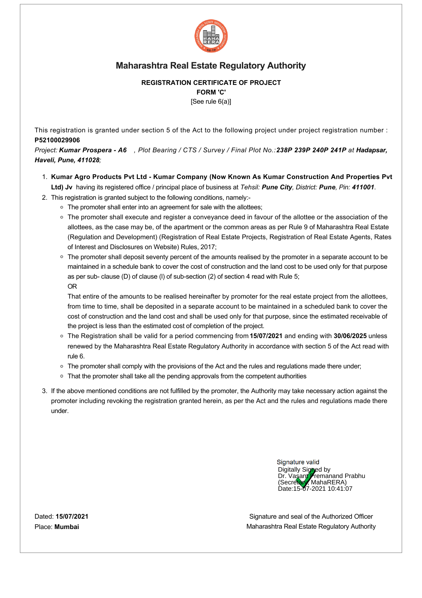

# **REGISTRATION CERTIFICATE OF PROJECT**

**FORM 'C'**

[See rule 6(a)]

This registration is granted under section 5 of the Act to the following project under project registration number : **P52100029906**

*Project: Kumar Prospera A6 , Plot Bearing / CTS / Survey / Final Plot No.: 238P 239P 240P 241P at Hadapsar, Haveli, Pune, 411028;*

- 1. **Kumar Agro Products Pvt Ltd Kumar Company (Now Known As Kumar Construction And Properties Pvt Ltd) Jv** having its registered office / principal place of business at *Tehsil: Pune City, District: Pune, Pin: 411001*.
- 2. This registration is granted subject to the following conditions, namely:
	- The promoter shall enter into an agreement for sale with the allottees;
	- The promoter shall execute and register a conveyance deed in favour of the allottee or the association of the allottees, as the case may be, of the apartment or the common areas as per Rule 9 of Maharashtra Real Estate (Regulation and Development) (Registration of Real Estate Projects, Registration of Real Estate Agents, Rates of Interest and Disclosures on Website) Rules, 2017;
	- The promoter shall deposit seventy percent of the amounts realised by the promoter in a separate account to be maintained in a schedule bank to cover the cost of construction and the land cost to be used only for that purpose as per sub- clause (D) of clause (I) of sub-section (2) of section 4 read with Rule 5; OR

That entire of the amounts to be realised hereinafter by promoter for the real estate project from the allottees, from time to time, shall be deposited in a separate account to be maintained in a scheduled bank to cover the cost of construction and the land cost and shall be used only for that purpose, since the estimated receivable of the project is less than the estimated cost of completion of the project.

- The Registration shall be valid for a period commencing from **15/07/2021** and ending with **30/06/2025** unless renewed by the Maharashtra Real Estate Regulatory Authority in accordance with section 5 of the Act read with rule 6.
- The promoter shall comply with the provisions of the Act and the rules and regulations made there under;
- **That the promoter shall take all the pending approvals from the competent authorities**
- 3. If the above mentioned conditions are not fulfilled by the promoter, the Authority may take necessary action against the promoter including revoking the registration granted herein, as per the Act and the rules and regulations made there under.

Signature valid Digitally Signed by Dr. Vasant **Premanand Prabhu** (Secretary, MahaRERA) Date:15-07-2021 10:41:07

Signature and seal of the Authorized Officer Maharashtra Real Estate Regulatory Authority

Dated: **15/07/2021** Place: **Mumbai**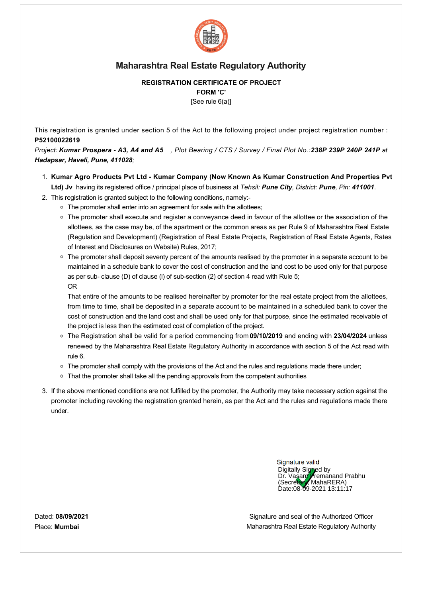

### **REGISTRATION CERTIFICATE OF PROJECT FORM 'C'**

[See rule 6(a)]

This registration is granted under section 5 of the Act to the following project under project registration number : **P52100022619**

*Project: Kumar Prospera A3, A4 and A5 , Plot Bearing / CTS / Survey / Final Plot No.: 238P 239P 240P 241P at Hadapsar, Haveli, Pune, 411028;*

- 1. **Kumar Agro Products Pvt Ltd Kumar Company (Now Known As Kumar Construction And Properties Pvt Ltd) Jv** having its registered office / principal place of business at *Tehsil: Pune City, District: Pune, Pin: 411001*.
- 2. This registration is granted subject to the following conditions, namely:
	- The promoter shall enter into an agreement for sale with the allottees;
	- The promoter shall execute and register a conveyance deed in favour of the allottee or the association of the allottees, as the case may be, of the apartment or the common areas as per Rule 9 of Maharashtra Real Estate (Regulation and Development) (Registration of Real Estate Projects, Registration of Real Estate Agents, Rates of Interest and Disclosures on Website) Rules, 2017;
	- The promoter shall deposit seventy percent of the amounts realised by the promoter in a separate account to be maintained in a schedule bank to cover the cost of construction and the land cost to be used only for that purpose as per sub- clause (D) of clause (I) of sub-section (2) of section 4 read with Rule 5; OR

That entire of the amounts to be realised hereinafter by promoter for the real estate project from the allottees, from time to time, shall be deposited in a separate account to be maintained in a scheduled bank to cover the cost of construction and the land cost and shall be used only for that purpose, since the estimated receivable of the project is less than the estimated cost of completion of the project.

- The Registration shall be valid for a period commencing from **09/10/2019** and ending with **23/04/2024** unless renewed by the Maharashtra Real Estate Regulatory Authority in accordance with section 5 of the Act read with rule 6.
- The promoter shall comply with the provisions of the Act and the rules and regulations made there under;
- **That the promoter shall take all the pending approvals from the competent authorities**
- 3. If the above mentioned conditions are not fulfilled by the promoter, the Authority may take necessary action against the promoter including revoking the registration granted herein, as per the Act and the rules and regulations made there under.

Signature valid Digitally Signed by Dr. Vasant **Premanand Prabhu** (Secretary, MahaRERA) Date:08-09-2021 13:11:17

Signature and seal of the Authorized Officer Maharashtra Real Estate Regulatory Authority

Dated: **08/09/2021** Place: **Mumbai**